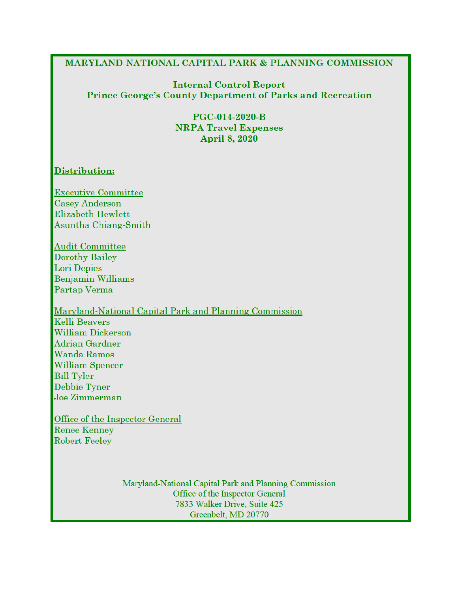#### **MARYLAND-NATIONAL CAPITAL PARK & PLANNING COMMISSION**

#### **Internal Control Report Prince George's County Department of Parks and Recreation**

**PGC-014-2020-B NRPA Travel Expenses April 8, 2020** 

# Distribution:

Executive Committee **Casey Anderson** Elizabeth Hewlett Asuntha Chiang-Smith

**Audit Committee Dorothy Bailey** Lori Depies **Benjamin Williams** Partap Verma

Maryland-National Capital Park and Planning Commission **Kelli Beavers William Dickerson** Adrian Gardner Wanda Ramos **William Spencer Bill Tyler** Debbie Tyner Joe Zimmerman

Office of the Inspector General Renee Kenney **Robert Feeley** 

> Maryland-National Capital Park and Planning Commission Office of the Inspector General 7833 Walker Drive, Suite 425 Greenbelt, MD 20770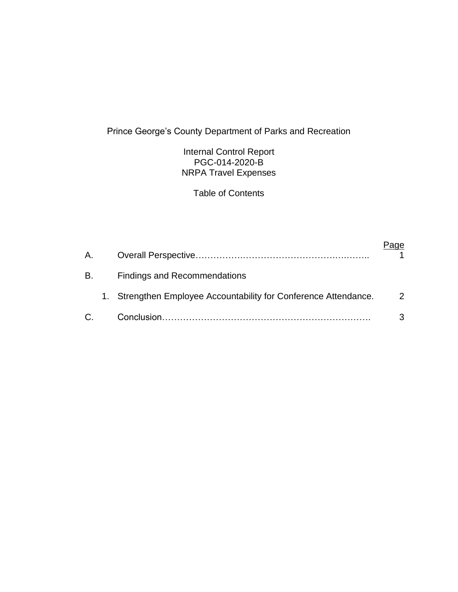# Prince George's County Department of Parks and Recreation

Internal Control Report PGC-014-2020-B NRPA Travel Expenses

Table of Contents

| A. |                                                                  |   |
|----|------------------------------------------------------------------|---|
| B. | <b>Findings and Recommendations</b>                              |   |
|    | 1. Strengthen Employee Accountability for Conference Attendance. | 2 |
| C. |                                                                  | 3 |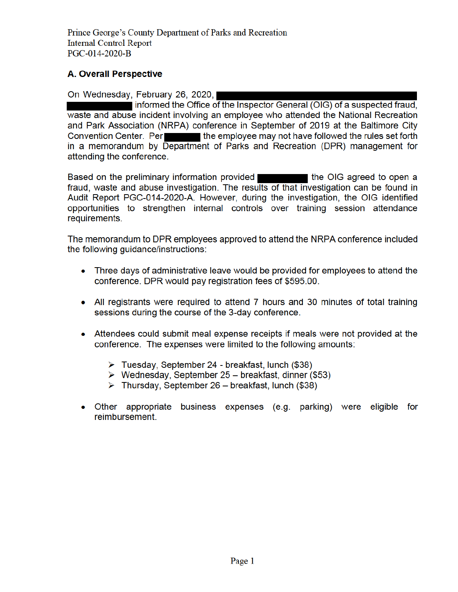Prince George's County Department of Parks and Recreation **Internal Control Report** PGC-014-2020-B

# **A. Overall Perspective**

On Wednesday, February 26, 2020,

informed the Office of the Inspector General (OIG) of a suspected fraud, waste and abuse incident involving an employee who attended the National Recreation and Park Association (NRPA) conference in September of 2019 at the Baltimore City Convention Center. Per the employee may not have followed the rules set forth in a memorandum by Department of Parks and Recreation (DPR) management for attending the conference.

Based on the preliminary information provided the OIG agreed to open a fraud, waste and abuse investigation. The results of that investigation can be found in Audit Report PGC-014-2020-A. However, during the investigation, the OIG identified opportunities to strengthen internal controls over training session attendance requirements.

The memorandum to DPR employees approved to attend the NRPA conference included the following guidance/instructions:

- Three days of administrative leave would be provided for employees to attend the conference. DPR would pay registration fees of \$595.00.
- All registrants were reguired to attend 7 hours and 30 minutes of total training sessions during the course of the 3-day conference.
- Attendees could submit meal expense receipts if meals were not provided at the conference. The expenses were limited to the following amounts:
	- $\triangleright$  Tuesday, September 24 breakfast, lunch (\$38)
	- $\triangleright$  Wednesday, September 25 breakfast, dinner (\$53)
	- $\triangleright$  Thursday, September 26 breakfast, lunch (\$38)
- Other appropriate business expenses (e.g. parking) were eligible for reimbursement.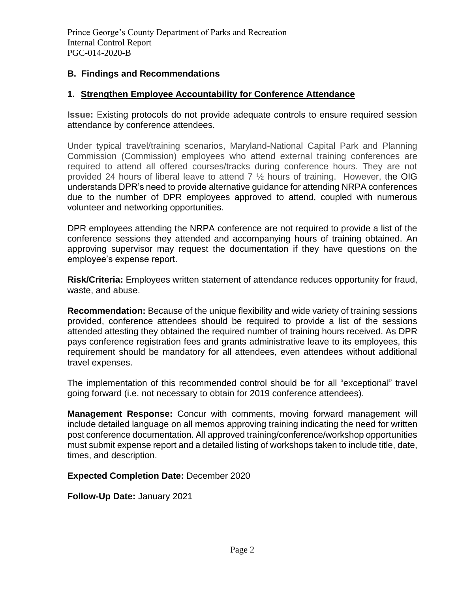## **B. Findings and Recommendations**

## **1. Strengthen Employee Accountability for Conference Attendance**

**Issue:** Existing protocols do not provide adequate controls to ensure required session attendance by conference attendees.

Under typical travel/training scenarios, Maryland-National Capital Park and Planning Commission (Commission) employees who attend external training conferences are required to attend all offered courses/tracks during conference hours. They are not provided 24 hours of liberal leave to attend  $7\frac{1}{2}$  hours of training. However, the OIG understands DPR's need to provide alternative guidance for attending NRPA conferences due to the number of DPR employees approved to attend, coupled with numerous volunteer and networking opportunities.

DPR employees attending the NRPA conference are not required to provide a list of the conference sessions they attended and accompanying hours of training obtained. An approving supervisor may request the documentation if they have questions on the employee's expense report.

**Risk/Criteria:** Employees written statement of attendance reduces opportunity for fraud, waste, and abuse.

**Recommendation:** Because of the unique flexibility and wide variety of training sessions provided, conference attendees should be required to provide a list of the sessions attended attesting they obtained the required number of training hours received. As DPR pays conference registration fees and grants administrative leave to its employees, this requirement should be mandatory for all attendees, even attendees without additional travel expenses.

The implementation of this recommended control should be for all "exceptional" travel going forward (i.e. not necessary to obtain for 2019 conference attendees).

**Management Response:** Concur with comments, moving forward management will include detailed language on all memos approving training indicating the need for written post conference documentation. All approved training/conference/workshop opportunities must submit expense report and a detailed listing of workshops taken to include title, date, times, and description.

**Expected Completion Date:** December 2020

**Follow-Up Date:** January 2021